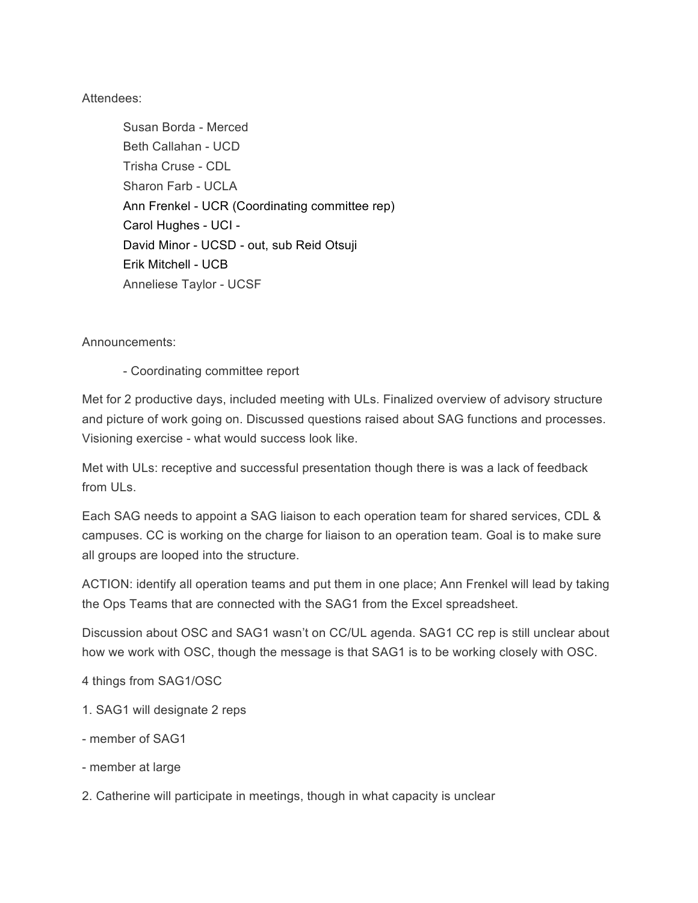## Attendees:

Susan Borda - Merced Beth Callahan - UCD Trisha Cruse - CDL Sharon Farb - UCLA Ann Frenkel - UCR (Coordinating committee rep) Carol Hughes - UCI - David Minor - UCSD - out, sub Reid Otsuji Erik Mitchell - UCB Anneliese Taylor - UCSF

## Announcements:

- Coordinating committee report

Met for 2 productive days, included meeting with ULs. Finalized overview of advisory structure and picture of work going on. Discussed questions raised about SAG functions and processes. Visioning exercise - what would success look like.

Met with ULs: receptive and successful presentation though there is was a lack of feedback from ULs.

Each SAG needs to appoint a SAG liaison to each operation team for shared services, CDL & campuses. CC is working on the charge for liaison to an operation team. Goal is to make sure all groups are looped into the structure.

ACTION: identify all operation teams and put them in one place; Ann Frenkel will lead by taking the Ops Teams that are connected with the SAG1 from the Excel spreadsheet.

Discussion about OSC and SAG1 wasn't on CC/UL agenda. SAG1 CC rep is still unclear about how we work with OSC, though the message is that SAG1 is to be working closely with OSC.

4 things from SAG1/OSC

- 1. SAG1 will designate 2 reps
- member of SAG1
- member at large

2. Catherine will participate in meetings, though in what capacity is unclear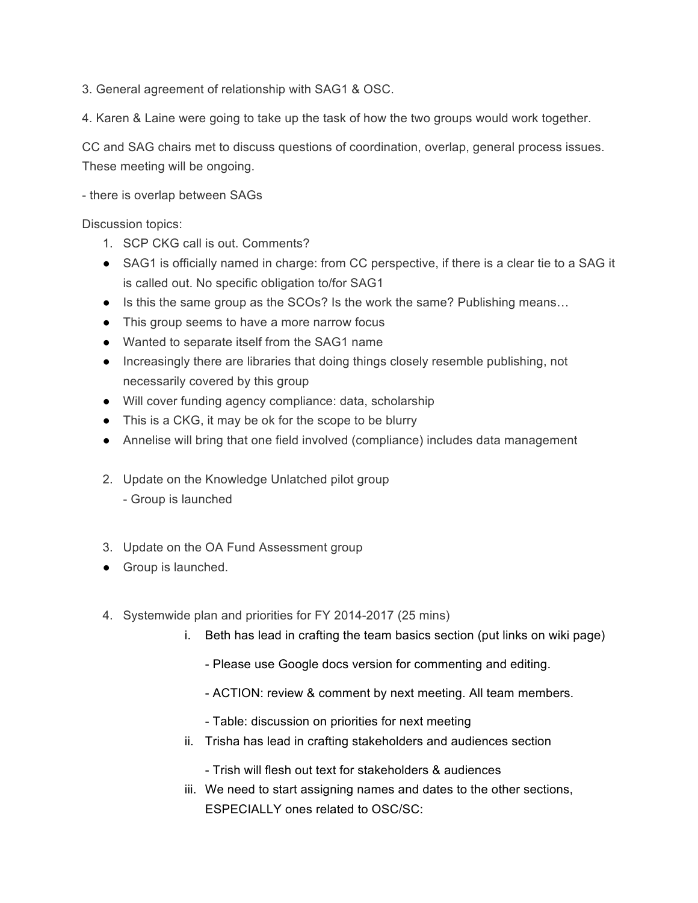3. General agreement of relationship with SAG1 & OSC.

4. Karen & Laine were going to take up the task of how the two groups would work together.

CC and SAG chairs met to discuss questions of coordination, overlap, general process issues. These meeting will be ongoing.

- there is overlap between SAGs

Discussion topics:

- 1. SCP CKG call is out. Comments?
- SAG1 is officially named in charge: from CC perspective, if there is a clear tie to a SAG it is called out. No specific obligation to/for SAG1
- Is this the same group as the SCOs? Is the work the same? Publishing means...
- This group seems to have a more narrow focus
- Wanted to separate itself from the SAG1 name
- Increasingly there are libraries that doing things closely resemble publishing, not necessarily covered by this group
- Will cover funding agency compliance: data, scholarship
- This is a CKG, it may be ok for the scope to be blurry
- Annelise will bring that one field involved (compliance) includes data management
- 2. Update on the Knowledge Unlatched pilot group
	- Group is launched
- 3. Update on the OA Fund Assessment group
- Group is launched.
- 4. Systemwide plan and priorities for FY 2014-2017 (25 mins)
	- i. Beth has lead in crafting the team basics section (put links on wiki page)
		- Please use Google docs version for commenting and editing.
		- ACTION: review & comment by next meeting. All team members.
		- Table: discussion on priorities for next meeting
	- ii. Trisha has lead in crafting stakeholders and audiences section
		- Trish will flesh out text for stakeholders & audiences
	- iii. We need to start assigning names and dates to the other sections, ESPECIALLY ones related to OSC/SC: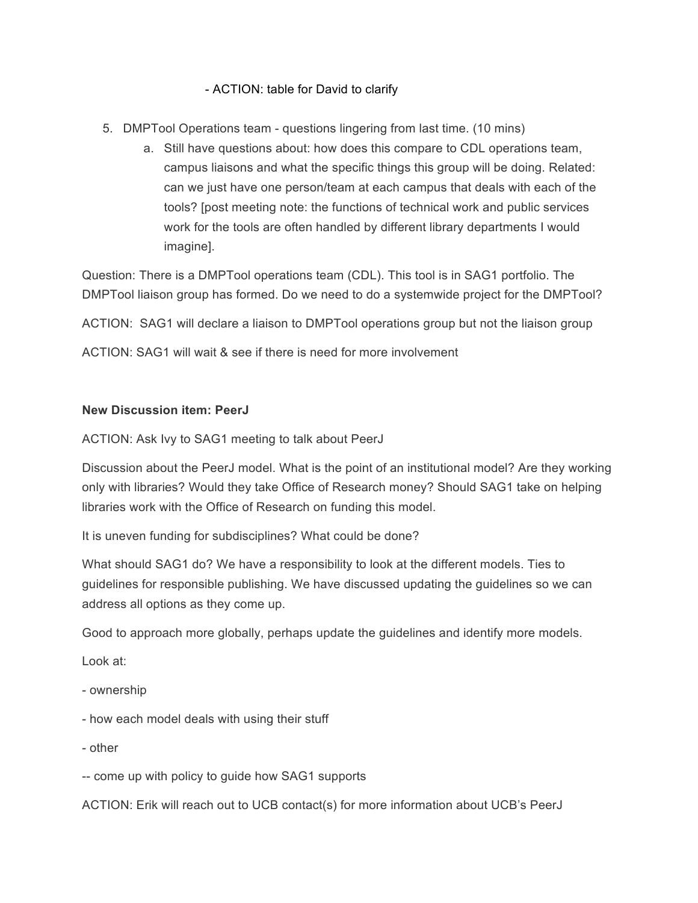## - ACTION: table for David to clarify

- 5. DMPTool Operations team questions lingering from last time. (10 mins)
	- a. Still have questions about: how does this compare to CDL operations team, campus liaisons and what the specific things this group will be doing. Related: can we just have one person/team at each campus that deals with each of the tools? [post meeting note: the functions of technical work and public services work for the tools are often handled by different library departments I would imagine].

Question: There is a DMPTool operations team (CDL). This tool is in SAG1 portfolio. The DMPTool liaison group has formed. Do we need to do a systemwide project for the DMPTool?

ACTION: SAG1 will declare a liaison to DMPTool operations group but not the liaison group

ACTION: SAG1 will wait & see if there is need for more involvement

## **New Discussion item: PeerJ**

ACTION: Ask Ivy to SAG1 meeting to talk about PeerJ

Discussion about the PeerJ model. What is the point of an institutional model? Are they working only with libraries? Would they take Office of Research money? Should SAG1 take on helping libraries work with the Office of Research on funding this model.

It is uneven funding for subdisciplines? What could be done?

What should SAG1 do? We have a responsibility to look at the different models. Ties to guidelines for responsible publishing. We have discussed updating the guidelines so we can address all options as they come up.

Good to approach more globally, perhaps update the guidelines and identify more models.

Look at:

- ownership
- how each model deals with using their stuff
- other

-- come up with policy to guide how SAG1 supports

ACTION: Erik will reach out to UCB contact(s) for more information about UCB's PeerJ